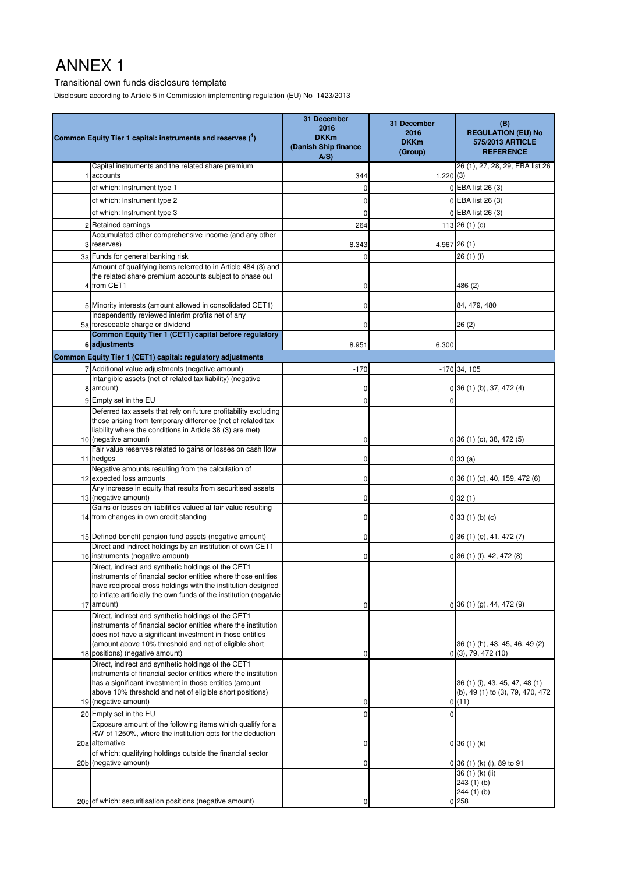#### Transitional own funds disclosure template

Disclosure according to Article 5 in Commission implementing regulation (EU) No 1423/2013

|   | Common Equity Tier 1 capital: instruments and reserves (1)                                                                                                                                                                                                 | 31 December<br>2016<br><b>DKKm</b><br>(Danish Ship finance<br>$A/S$ ) | 31 December<br>2016<br><b>DKKm</b><br>(Group) | (B)<br><b>REGULATION (EU) No</b><br>575/2013 ARTICLE<br><b>REFERENCE</b> |
|---|------------------------------------------------------------------------------------------------------------------------------------------------------------------------------------------------------------------------------------------------------------|-----------------------------------------------------------------------|-----------------------------------------------|--------------------------------------------------------------------------|
|   | Capital instruments and the related share premium                                                                                                                                                                                                          |                                                                       |                                               | 26 (1), 27, 28, 29, EBA list 26                                          |
|   | accounts                                                                                                                                                                                                                                                   | 344                                                                   | 1.220(3)                                      |                                                                          |
|   | of which: Instrument type 1                                                                                                                                                                                                                                | 0                                                                     |                                               | 0 EBA list 26 (3)<br>0 EBA list 26 (3)                                   |
|   | of which: Instrument type 2                                                                                                                                                                                                                                | 0                                                                     |                                               |                                                                          |
|   | of which: Instrument type 3<br>Retained earnings                                                                                                                                                                                                           | 0                                                                     |                                               | 0 EBA list 26 (3)                                                        |
| 2 | Accumulated other comprehensive income (and any other                                                                                                                                                                                                      | 264                                                                   |                                               | 113 26 (1) (c)                                                           |
|   | 3 reserves)                                                                                                                                                                                                                                                | 8.343                                                                 |                                               | $4.967$ 26 (1)                                                           |
|   | 3a Funds for general banking risk                                                                                                                                                                                                                          | 0                                                                     |                                               | 26 (1) (f)                                                               |
| Δ | Amount of qualifying items referred to in Article 484 (3) and<br>the related share premium accounts subject to phase out<br>from CET1                                                                                                                      | 0                                                                     |                                               | 486 (2)                                                                  |
|   | 5 Minority interests (amount allowed in consolidated CET1)                                                                                                                                                                                                 | 0                                                                     |                                               | 84, 479, 480                                                             |
|   | Independently reviewed interim profits net of any                                                                                                                                                                                                          |                                                                       |                                               |                                                                          |
|   | 5a foreseeable charge or dividend                                                                                                                                                                                                                          | 0                                                                     |                                               | 26(2)                                                                    |
|   | Common Equity Tier 1 (CET1) capital before regulatory                                                                                                                                                                                                      |                                                                       |                                               |                                                                          |
|   | 6 adjustments                                                                                                                                                                                                                                              | 8.951                                                                 | 6.300                                         |                                                                          |
|   | Common Equity Tier 1 (CET1) capital: regulatory adjustments<br>7 Additional value adjustments (negative amount)                                                                                                                                            | $-170$                                                                |                                               | $-170$ 34, 105                                                           |
|   | Intangible assets (net of related tax liability) (negative                                                                                                                                                                                                 |                                                                       |                                               |                                                                          |
| 8 | amount)                                                                                                                                                                                                                                                    | 0                                                                     |                                               | $0$ 36 (1) (b), 37, 472 (4)                                              |
|   | 9 Empty set in the EU                                                                                                                                                                                                                                      | $\mathbf 0$                                                           | $\Omega$                                      |                                                                          |
|   | Deferred tax assets that rely on future profitability excluding                                                                                                                                                                                            |                                                                       |                                               |                                                                          |
|   | those arising from temporary difference (net of related tax<br>liability where the conditions in Article 38 (3) are met)                                                                                                                                   |                                                                       |                                               |                                                                          |
|   | 10 (negative amount)                                                                                                                                                                                                                                       | 0                                                                     |                                               | $0$ 36 (1) (c), 38, 472 (5)                                              |
|   | Fair value reserves related to gains or losses on cash flow                                                                                                                                                                                                |                                                                       |                                               |                                                                          |
|   | 11 hedges                                                                                                                                                                                                                                                  | 0                                                                     |                                               | 0 33(a)                                                                  |
|   | Negative amounts resulting from the calculation of<br>12 expected loss amounts                                                                                                                                                                             | 0                                                                     |                                               | $0$ 36 (1) (d), 40, 159, 472 (6)                                         |
|   | Any increase in equity that results from securitised assets                                                                                                                                                                                                |                                                                       |                                               |                                                                          |
|   | 13 (negative amount)<br>Gains or losses on liabilities valued at fair value resulting                                                                                                                                                                      | 0                                                                     |                                               | 032(1)                                                                   |
|   | 14 from changes in own credit standing                                                                                                                                                                                                                     | 0                                                                     |                                               | $0$ 33 (1) (b) (c)                                                       |
|   |                                                                                                                                                                                                                                                            |                                                                       |                                               |                                                                          |
|   | 15 Defined-benefit pension fund assets (negative amount)<br>Direct and indirect holdings by an institution of own CET1                                                                                                                                     | 0                                                                     |                                               | $0$ 36 (1) (e), 41, 472 (7)                                              |
|   | 16 instruments (negative amount)                                                                                                                                                                                                                           | 0                                                                     |                                               | $0$ 36 (1) (f), 42, 472 (8)                                              |
|   | Direct, indirect and synthetic holdings of the CET1<br>instruments of financial sector entities where those entities<br>have reciprocal cross holdings with the institution designed<br>to inflate artificially the own funds of the institution (negatvie |                                                                       |                                               |                                                                          |
|   | 17 amount)                                                                                                                                                                                                                                                 | 0                                                                     |                                               | $0\,36(1)(q)$ , 44, 472 $(9)$                                            |
|   | Direct, indirect and synthetic holdings of the CET1<br>instruments of financial sector entities where the institution<br>does not have a significant investment in those entities<br>(amount above 10% threshold and net of eligible short                 |                                                                       |                                               | 36 (1) (h), 43, 45, 46, 49 (2)                                           |
|   | 18 positions) (negative amount)                                                                                                                                                                                                                            | 0                                                                     |                                               | 0(3), 79, 472(10)                                                        |
|   | Direct, indirect and synthetic holdings of the CET1<br>instruments of financial sector entities where the institution<br>has a significant investment in those entities (amount                                                                            |                                                                       |                                               | 36 (1) (i), 43, 45, 47, 48 (1)                                           |
|   | above 10% threshold and net of eligible short positions)<br>19 (negative amount)                                                                                                                                                                           |                                                                       |                                               | (b), 49 (1) to (3), 79, 470, 472                                         |
|   | 20 Empty set in the EU                                                                                                                                                                                                                                     | 0<br>$\mathbf 0$                                                      |                                               | 0(11)                                                                    |
|   | Exposure amount of the following items which qualify for a                                                                                                                                                                                                 |                                                                       |                                               |                                                                          |
|   | RW of 1250%, where the institution opts for the deduction                                                                                                                                                                                                  |                                                                       |                                               |                                                                          |
|   | 20a alternative                                                                                                                                                                                                                                            | 0                                                                     |                                               | $0$ 36 (1) (k)                                                           |
|   | of which: qualifying holdings outside the financial sector<br>20b (negative amount)                                                                                                                                                                        | 0                                                                     |                                               | 0 36 (1) (k) (i), 89 to 91                                               |
|   |                                                                                                                                                                                                                                                            |                                                                       |                                               | 36 (1) (k) (ii)<br>243(1)(b)                                             |
|   | 20c of which: securitisation positions (negative amount)                                                                                                                                                                                                   | 0                                                                     |                                               | 244(1)(b)<br>$0^{258}$                                                   |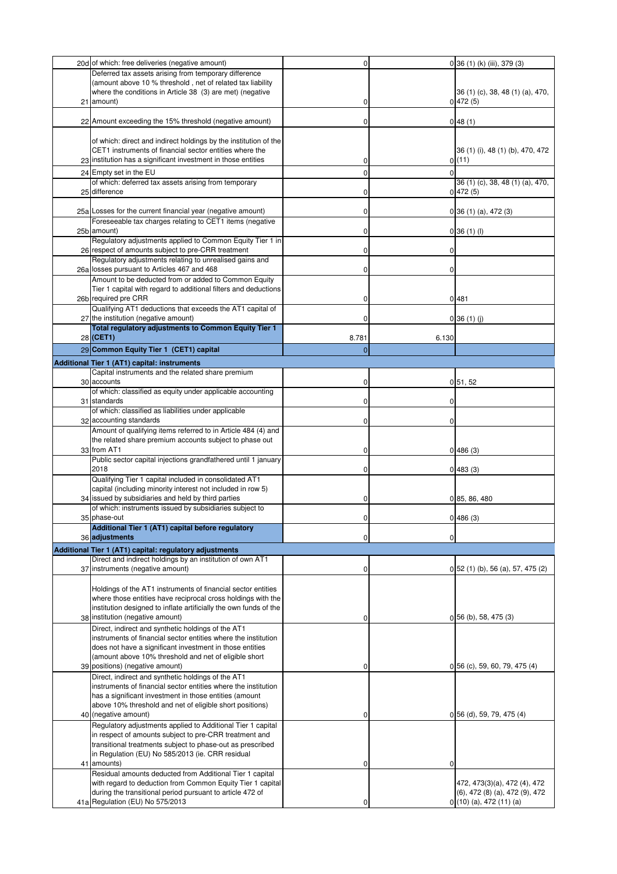| 20d of which: free deliveries (negative amount)                                                                         | 0              |       | 0 36 (1) (k) (iii), 379 (3)             |
|-------------------------------------------------------------------------------------------------------------------------|----------------|-------|-----------------------------------------|
| Deferred tax assets arising from temporary difference                                                                   |                |       |                                         |
| (amount above 10 % threshold, net of related tax liability                                                              |                |       |                                         |
| where the conditions in Article 38 (3) are met) (negative                                                               |                |       | 36 (1) (c), 38, 48 (1) (a), 470,        |
| 21 amount)                                                                                                              | 0              |       | 0 472(5)                                |
| 22 Amount exceeding the 15% threshold (negative amount)                                                                 | 0              |       | 0 48(1)                                 |
|                                                                                                                         |                |       |                                         |
| of which: direct and indirect holdings by the institution of the                                                        |                |       |                                         |
| CET1 instruments of financial sector entities where the                                                                 |                |       | 36 (1) (i), 48 (1) (b), 470, 472        |
| 23 institution has a significant investment in those entities                                                           | 0              |       | 0(11)                                   |
| 24 Empty set in the EU                                                                                                  | 0              |       |                                         |
| of which: deferred tax assets arising from temporary                                                                    |                |       | 36 (1) (c), 38, 48 (1) (a), 470,        |
| 25 difference                                                                                                           | 0              |       | 0 472(5)                                |
|                                                                                                                         |                |       |                                         |
| 25a Losses for the current financial year (negative amount)<br>Foreseeable tax charges relating to CET1 items (negative | 0              |       | $0$ 36 (1) (a), 472 (3)                 |
| 25b amount)                                                                                                             | 0              |       | $0$ 36 (1) (l)                          |
| Regulatory adjustments applied to Common Equity Tier 1 in                                                               |                |       |                                         |
| 26 respect of amounts subject to pre-CRR treatment                                                                      | 0              | 0     |                                         |
| Regulatory adjustments relating to unrealised gains and                                                                 |                |       |                                         |
| 26a losses pursuant to Articles 467 and 468                                                                             | 0              | 0     |                                         |
| Amount to be deducted from or added to Common Equity<br>Tier 1 capital with regard to additional filters and deductions |                |       |                                         |
| 26b required pre CRR                                                                                                    | 0              |       | 01481                                   |
| Qualifying AT1 deductions that exceeds the AT1 capital of                                                               |                |       |                                         |
| 27 the institution (negative amount)                                                                                    | 0              |       | $0$ 36 (1) (j)                          |
| Total regulatory adjustments to Common Equity Tier 1                                                                    |                |       |                                         |
| 28 (CET1)                                                                                                               | 8.781          | 6.130 |                                         |
| 29 Common Equity Tier 1 (CET1) capital                                                                                  | $\overline{0}$ |       |                                         |
| Additional Tier 1 (AT1) capital: instruments                                                                            |                |       |                                         |
| Capital instruments and the related share premium                                                                       |                |       |                                         |
| 30 accounts                                                                                                             | 0              |       | 0, 51, 52                               |
| of which: classified as equity under applicable accounting                                                              |                |       |                                         |
| 31 standards<br>of which: classified as liabilities under applicable                                                    | 0              | 0     |                                         |
| 32 accounting standards                                                                                                 | 0              |       |                                         |
| Amount of qualifying items referred to in Article 484 (4) and                                                           |                |       |                                         |
| the related share premium accounts subject to phase out                                                                 |                |       |                                         |
| 33 from AT1                                                                                                             | 0              |       | 0 486(3)                                |
| Public sector capital injections grandfathered until 1 january                                                          |                |       |                                         |
| 2018<br>Qualifying Tier 1 capital included in consolidated AT1                                                          | 0              |       | 0 483(3)                                |
| capital (including minority interest not included in row 5)                                                             |                |       |                                         |
| 34 issued by subsidiaries and held by third parties                                                                     | 0              |       | 0 85, 86, 480                           |
| of which: instruments issued by subsidiaries subject to                                                                 |                |       |                                         |
| 35 phase-out                                                                                                            | $\Omega$       |       | 0 486(3)                                |
| Additional Tier 1 (AT1) capital before regulatory<br>36 adjustments                                                     |                |       |                                         |
|                                                                                                                         | 0              | 0     |                                         |
| Additional Tier 1 (AT1) capital: regulatory adjustments<br>Direct and indirect holdings by an institution of own AT1    |                |       |                                         |
| 37 instruments (negative amount)                                                                                        | 0              |       | $0\,52\,(1)\,(b)$ , 56 (a), 57, 475 (2) |
|                                                                                                                         |                |       |                                         |
| Holdings of the AT1 instruments of financial sector entities                                                            |                |       |                                         |
| where those entities have reciprocal cross holdings with the                                                            |                |       |                                         |
| institution designed to inflate artificially the own funds of the                                                       |                |       |                                         |
| 38 institution (negative amount)                                                                                        | 0              |       | $0$ 56 (b), 58, 475 (3)                 |
| Direct, indirect and synthetic holdings of the AT1<br>instruments of financial sector entities where the institution    |                |       |                                         |
| does not have a significant investment in those entities                                                                |                |       |                                         |
| (amount above 10% threshold and net of eligible short                                                                   |                |       |                                         |
| 39 positions) (negative amount)                                                                                         | 0              |       | $0, 56$ (c), 59, 60, 79, 475 (4)        |
| Direct, indirect and synthetic holdings of the AT1                                                                      |                |       |                                         |
| instruments of financial sector entities where the institution                                                          |                |       |                                         |
| has a significant investment in those entities (amount<br>above 10% threshold and net of eligible short positions)      |                |       |                                         |
| 40 (negative amount)                                                                                                    | 0              |       | $0\,56$ (d), 59, 79, 475 (4)            |
| Regulatory adjustments applied to Additional Tier 1 capital                                                             |                |       |                                         |
| in respect of amounts subject to pre-CRR treatment and                                                                  |                |       |                                         |
| transitional treatments subject to phase-out as prescribed                                                              |                |       |                                         |
| in Regulation (EU) No 585/2013 (ie. CRR residual                                                                        |                |       |                                         |
| 41 amounts)                                                                                                             | 0              |       |                                         |
| Residual amounts deducted from Additional Tier 1 capital<br>with regard to deduction from Common Equity Tier 1 capital  |                |       | 472, 473(3)(a), 472 (4), 472            |
| during the transitional period pursuant to article 472 of                                                               |                |       | (6), 472 (8) (a), 472 (9), 472          |
| 41a Regulation (EU) No 575/2013                                                                                         | 0              |       | $0(10)(a)$ , 472 (11) (a)               |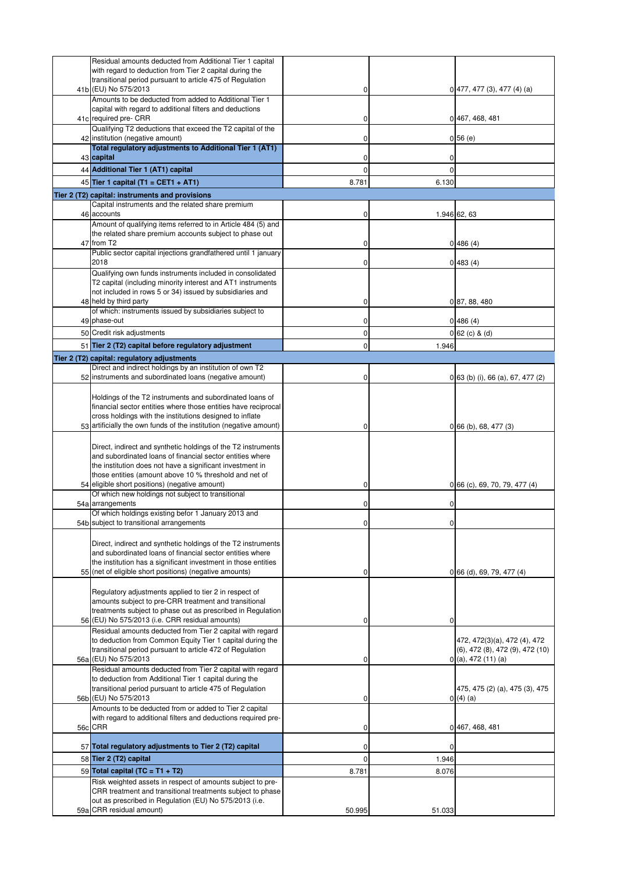| Residual amounts deducted from Additional Tier 1 capital<br>with regard to deduction from Tier 2 capital during the<br>transitional period pursuant to article 475 of Regulation                                                                        |             |              |                                                                                                     |
|---------------------------------------------------------------------------------------------------------------------------------------------------------------------------------------------------------------------------------------------------------|-------------|--------------|-----------------------------------------------------------------------------------------------------|
| 41b (EU) No 575/2013<br>Amounts to be deducted from added to Additional Tier 1                                                                                                                                                                          | 0           |              | $0$ 477, 477 (3), 477 (4) (a)                                                                       |
| capital with regard to additional filters and deductions<br>41c required pre- CRR                                                                                                                                                                       | 0           |              | 0 467, 468, 481                                                                                     |
| Qualifying T2 deductions that exceed the T2 capital of the<br>42 institution (negative amount)                                                                                                                                                          | 0           |              | 0 56(e)                                                                                             |
| Total regulatory adjustments to Additional Tier 1 (AT1)<br>43 capital                                                                                                                                                                                   | 0           |              |                                                                                                     |
| 44 Additional Tier 1 (AT1) capital                                                                                                                                                                                                                      | 0           | $\Omega$     |                                                                                                     |
| 45 Tier 1 capital (T1 = CET1 + AT1)                                                                                                                                                                                                                     | 8.781       | 6.130        |                                                                                                     |
| Tier 2 (T2) capital: instruments and provisions                                                                                                                                                                                                         |             |              |                                                                                                     |
| Capital instruments and the related share premium<br>46 accounts                                                                                                                                                                                        | 0           |              | 1.946 62, 63                                                                                        |
| Amount of qualifying items referred to in Article 484 (5) and<br>the related share premium accounts subject to phase out<br>47 from T2                                                                                                                  | 0           |              | 0 486(4)                                                                                            |
| Public sector capital injections grandfathered until 1 january<br>2018                                                                                                                                                                                  | 0           |              | 0 483(4)                                                                                            |
| Qualifying own funds instruments included in consolidated<br>T2 capital (including minority interest and AT1 instruments<br>not included in rows 5 or 34) issued by subsidiaries and                                                                    |             |              |                                                                                                     |
| 48 held by third party<br>of which: instruments issued by subsidiaries subject to                                                                                                                                                                       | 0           |              | 0 87, 88, 480                                                                                       |
| 49 phase-out                                                                                                                                                                                                                                            | 0           |              | 0 486(4)                                                                                            |
| 50 Credit risk adjustments                                                                                                                                                                                                                              | 0           |              | $0$ 62 (c) & (d)                                                                                    |
| 51 Tier 2 (T2) capital before regulatory adjustment<br>Tier 2 (T2) capital: regulatory adjustments                                                                                                                                                      | $\mathbf 0$ | 1.946        |                                                                                                     |
| Direct and indirect holdings by an institution of own T2                                                                                                                                                                                                |             |              |                                                                                                     |
| 52 instruments and subordinated loans (negative amount)                                                                                                                                                                                                 | 0           |              | 0 63 (b) (i), 66 (a), 67, 477 (2)                                                                   |
| Holdings of the T2 instruments and subordinated loans of<br>financial sector entities where those entities have reciprocal<br>cross holdings with the institutions designed to inflate                                                                  |             |              |                                                                                                     |
| 53 artificially the own funds of the institution (negative amount)                                                                                                                                                                                      | 0           |              | $0$ 66 (b), 68, 477 (3)                                                                             |
| Direct, indirect and synthetic holdings of the T2 instruments<br>and subordinated loans of financial sector entities where<br>the institution does not have a significant investment in<br>those entities (amount above 10 % threshold and net of       |             |              |                                                                                                     |
| 54 eligible short positions) (negative amount)<br>Of which new holdings not subject to transitional                                                                                                                                                     | 0           |              | 0 66 (c), 69, 70, 79, 477 (4)                                                                       |
| 54a arrangements<br>Of which holdings existing befor 1 January 2013 and                                                                                                                                                                                 | 0           | 0            |                                                                                                     |
| 54b subject to transitional arrangements                                                                                                                                                                                                                | $\mathbf 0$ | $\mathbf{0}$ |                                                                                                     |
| Direct, indirect and synthetic holdings of the T2 instruments<br>and subordinated loans of financial sector entities where<br>the institution has a significant investment in those entities<br>55 (net of eligible short positions) (negative amounts) | 0           |              | 0 66 (d), 69, 79, 477 (4)                                                                           |
| Regulatory adjustments applied to tier 2 in respect of<br>amounts subject to pre-CRR treatment and transitional<br>treatments subject to phase out as prescribed in Regulation<br>56 (EU) No 575/2013 (i.e. CRR residual amounts)                       | 0           | 0            |                                                                                                     |
| Residual amounts deducted from Tier 2 capital with regard<br>to deduction from Common Equity Tier 1 capital during the<br>transitional period pursuant to article 472 of Regulation<br>56a (EU) No 575/2013                                             | 0           |              | 472, 472(3)(a), 472 (4), 472<br>$(6)$ , 472 $(8)$ , 472 $(9)$ , 472 $(10)$<br>$0($ a), 472 (11) (a) |
| Residual amounts deducted from Tier 2 capital with regard<br>to deduction from Additional Tier 1 capital during the<br>transitional period pursuant to article 475 of Regulation<br>56b (EU) No 575/2013                                                | 0           |              | 475, 475 (2) (a), 475 (3), 475<br>0(4)(a)                                                           |
| Amounts to be deducted from or added to Tier 2 capital<br>with regard to additional filters and deductions required pre-<br>56c CRR                                                                                                                     | 0           |              | 0 467, 468, 481                                                                                     |
| 57 Total regulatory adjustments to Tier 2 (T2) capital                                                                                                                                                                                                  | 0           | 0            |                                                                                                     |
| 58 Tier 2 (T2) capital                                                                                                                                                                                                                                  | $\mathbf 0$ | 1.946        |                                                                                                     |
| 59 Total capital $(TC = T1 + T2)$                                                                                                                                                                                                                       | 8.781       | 8.076        |                                                                                                     |
| Risk weighted assets in respect of amounts subject to pre-<br>CRR treatment and transitional treatments subject to phase<br>out as prescribed in Regulation (EU) No 575/2013 (i.e.                                                                      |             |              |                                                                                                     |
| 59a CRR residual amount)                                                                                                                                                                                                                                | 50.995      | 51.033       |                                                                                                     |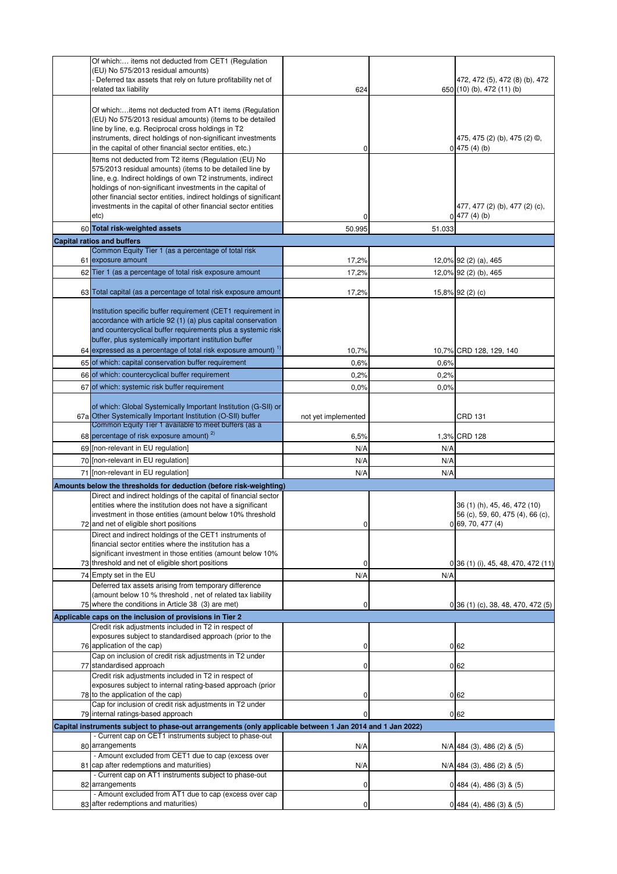| Of which: items not deducted from CET1 (Regulation<br>(EU) No 575/2013 residual amounts)                                                                            |                     |        |                                                   |
|---------------------------------------------------------------------------------------------------------------------------------------------------------------------|---------------------|--------|---------------------------------------------------|
| - Deferred tax assets that rely on future profitability net of                                                                                                      |                     |        | 472, 472 (5), 472 (8) (b), 472                    |
| related tax liability                                                                                                                                               | 624                 |        | 650 (10) (b), 472 (11) (b)                        |
| Of which:items not deducted from AT1 items (Regulation                                                                                                              |                     |        |                                                   |
| (EU) No 575/2013 residual amounts) (items to be detailed                                                                                                            |                     |        |                                                   |
| line by line, e.g. Reciprocal cross holdings in T2                                                                                                                  |                     |        |                                                   |
| instruments, direct holdings of non-significant investments<br>in the capital of other financial sector entities, etc.)                                             | 0                   |        | 475, 475 (2) (b), 475 (2) ©,<br>0 475(4)(b)       |
| Items not deducted from T2 items (Regulation (EU) No                                                                                                                |                     |        |                                                   |
| 575/2013 residual amounts) (items to be detailed line by                                                                                                            |                     |        |                                                   |
| line, e.g. Indirect holdings of own T2 instruments, indirect<br>holdings of non-significant investments in the capital of                                           |                     |        |                                                   |
| other financial sector entities, indirect holdings of significant                                                                                                   |                     |        |                                                   |
| investments in the capital of other financial sector entities<br>etc)                                                                                               | 0                   |        | 477, 477 (2) (b), 477 (2) (c),<br>$0$ 477 (4) (b) |
| 60 Total risk-weighted assets                                                                                                                                       | 50.995              | 51.033 |                                                   |
| <b>Capital ratios and buffers</b>                                                                                                                                   |                     |        |                                                   |
| Common Equity Tier 1 (as a percentage of total risk                                                                                                                 |                     |        |                                                   |
| 61 exposure amount                                                                                                                                                  | 17,2%               |        | 12,0% 92 (2) (a), 465                             |
| 62 Tier 1 (as a percentage of total risk exposure amount                                                                                                            | 17,2%               |        | 12,0% 92 (2) (b), 465                             |
| 63 Total capital (as a percentage of total risk exposure amount                                                                                                     | 17,2%               |        | 15,8% 92 (2) (c)                                  |
| Institution specific buffer requirement (CET1 requirement in                                                                                                        |                     |        |                                                   |
| accordance with article 92 (1) (a) plus capital conservation                                                                                                        |                     |        |                                                   |
| and countercyclical buffer requirements plus a systemic risk                                                                                                        |                     |        |                                                   |
| buffer, plus systemically important institution buffer<br>64 expressed as a percentage of total risk exposure amount) $1$                                           | 10,7%               |        | 10,7% CRD 128, 129, 140                           |
| 65 of which: capital conservation buffer requirement                                                                                                                | 0,6%                | 0,6%   |                                                   |
| 66 of which: countercyclical buffer requirement                                                                                                                     | 0,2%                | 0,2%   |                                                   |
| 67 of which: systemic risk buffer requirement                                                                                                                       | 0,0%                | 0,0%   |                                                   |
|                                                                                                                                                                     |                     |        |                                                   |
| of which: Global Systemically Important Institution (G-SII) or<br>67a Other Systemically Important Institution (O-SII) buffer                                       | not yet implemented |        | <b>CRD 131</b>                                    |
| Common Equity Tier 1 available to meet buffers (as a                                                                                                                |                     |        |                                                   |
| 68 percentage of risk exposure amount) <sup>2)</sup>                                                                                                                | 6,5%                |        | 1,3% CRD 128                                      |
| 69 [non-relevant in EU regulation]                                                                                                                                  | N/A                 | N/A    |                                                   |
| 70 [non-relevant in EU regulation]                                                                                                                                  | N/A                 | N/A    |                                                   |
|                                                                                                                                                                     |                     | N/A    |                                                   |
| 71 [non-relevant in EU regulation]                                                                                                                                  | N/A                 |        |                                                   |
| Amounts below the thresholds for deduction (before risk-weighting)                                                                                                  |                     |        |                                                   |
| Direct and indirect holdings of the capital of financial sector<br>entities where the institution does not have a significant                                       |                     |        | 36 (1) (h), 45, 46, 472 (10)                      |
| investment in those entities (amount below 10% threshold                                                                                                            |                     |        | 56 (c), 59, 60, 475 (4), 66 (c),                  |
| 72 and net of eligible short positions                                                                                                                              | 0                   |        | 0,69,70,477(4)                                    |
| Direct and indirect holdings of the CET1 instruments of<br>financial sector entities where the institution has a                                                    |                     |        |                                                   |
| significant investment in those entities (amount below 10%                                                                                                          |                     |        |                                                   |
| 73 threshold and net of eligible short positions                                                                                                                    | 0                   |        | 0 36 (1) (i), 45, 48, 470, 472 (11)               |
| 74 Empty set in the EU<br>Deferred tax assets arising from temporary difference                                                                                     | N/A                 | N/A    |                                                   |
| (amount below 10 % threshold, net of related tax liability                                                                                                          |                     |        |                                                   |
| 75 where the conditions in Article 38 (3) are met)                                                                                                                  | 0                   |        | $0$ 36 (1) (c), 38, 48, 470, 472 (5)              |
| Applicable caps on the inclusion of provisions in Tier 2<br>Credit risk adjustments included in T2 in respect of                                                    |                     |        |                                                   |
| exposures subject to standardised approach (prior to the                                                                                                            |                     |        |                                                   |
| 76 application of the cap)                                                                                                                                          | 0                   |        | 062                                               |
| Cap on inclusion of credit risk adjustments in T2 under<br>77 standardised approach                                                                                 | 0                   |        | 062                                               |
| Credit risk adjustments included in T2 in respect of                                                                                                                |                     |        |                                                   |
| exposures subject to internal rating-based approach (prior<br>78 to the application of the cap)                                                                     | 0                   |        | 0 <sub>62</sub>                                   |
| Cap for inclusion of credit risk adjustments in T2 under                                                                                                            |                     |        |                                                   |
| 79 internal ratings-based approach                                                                                                                                  | 0                   |        | 0 <sub>62</sub>                                   |
| Capital instruments subject to phase-out arrangements (only applicable between 1 Jan 2014 and 1 Jan 2022)<br>- Current cap on CET1 instruments subject to phase-out |                     |        |                                                   |
| 80 arrangements                                                                                                                                                     | N/A                 |        | N/A 484 (3), 486 (2) & (5)                        |
| - Amount excluded from CET1 due to cap (excess over                                                                                                                 |                     |        |                                                   |
| 81 cap after redemptions and maturities)<br>- Current cap on AT1 instruments subject to phase-out                                                                   | N/A                 |        | N/A 484 (3), 486 (2) & (5)                        |
| 82 arrangements                                                                                                                                                     | 0                   |        | $0\,$ 484 (4), 486 (3) & (5)                      |
| - Amount excluded from AT1 due to cap (excess over cap<br>83 after redemptions and maturities)                                                                      | 0                   |        | $0$ 484 (4), 486 (3) & (5)                        |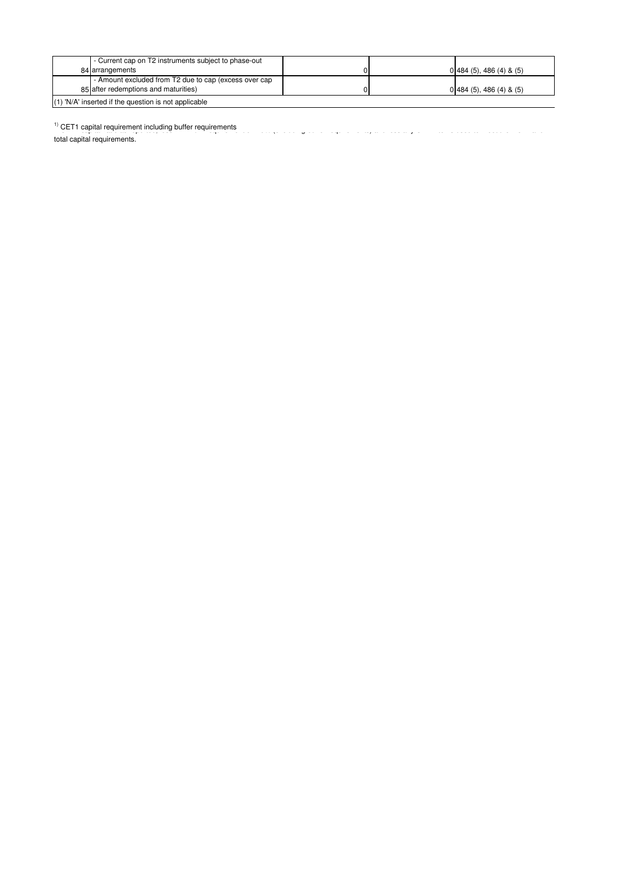| - Current cap on T2 instruments subject to phase-out  |  |                               |
|-------------------------------------------------------|--|-------------------------------|
| 84 arrangements                                       |  | $0\,484\,(5)$ , 486 (4) & (5) |
| - Amount excluded from T2 due to cap (excess over cap |  |                               |
| 85 after redemptions and maturities)                  |  | $0\,484\,(5)$ , 486 (4) & (5) |
| (1) 'N/A' inserted if the question is not applicable  |  |                               |

1) CET1 capital requirement including buffer requirements CET1 capital ratio as reported to 4.5% (excluding buffer requirements) and less any CET1 capital requirement including buffer requirements

total capital requirements.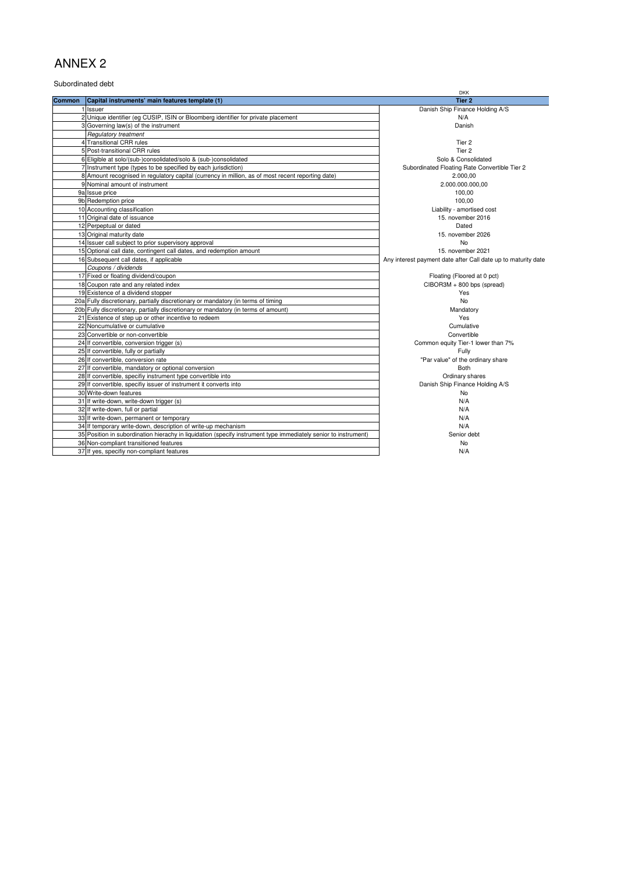Subordinated debt

|               |                                                                                                                 | <b>DKK</b>                                                    |
|---------------|-----------------------------------------------------------------------------------------------------------------|---------------------------------------------------------------|
| <b>Common</b> | Capital instruments' main features template (1)                                                                 | Tier <sub>2</sub>                                             |
|               | 1 Issuer                                                                                                        | Danish Ship Finance Holding A/S                               |
|               | 2 Unique identifier (eg CUSIP, ISIN or Bloomberg identifier for private placement                               | N/A                                                           |
|               | 3 Governing law(s) of the instrument                                                                            | Danish                                                        |
|               | Regulatory treatment                                                                                            |                                                               |
|               | 4 Transitional CRR rules                                                                                        | Tier 2                                                        |
|               | 5 Post-transitional CRR rules                                                                                   | Tier 2                                                        |
|               | 6 Eligible at solo/(sub-)consolidated/solo & (sub-)consolidated                                                 | Solo & Consolidated                                           |
|               | 7 Instrument type (types to be specified by each jurisdiction)                                                  | Subordinated Floating Rate Convertible Tier 2                 |
|               | 8 Amount recognised in regulatory capital (currency in million, as of most recent reporting date)               | 2.000,00                                                      |
|               | 9 Nominal amount of instrument                                                                                  | 2.000.000.000,00                                              |
|               | 9a Issue price                                                                                                  | 100,00                                                        |
|               | 9b Redemption price                                                                                             | 100,00                                                        |
|               | 10 Accounting classification                                                                                    | Liability - amortised cost                                    |
|               | 11 Original date of issuance                                                                                    | 15. november 2016                                             |
|               | 12 Perpeptual or dated                                                                                          | Dated                                                         |
|               | 13 Original maturity date                                                                                       | 15. november 2026                                             |
|               | 14 Issuer call subject to prior supervisory approval                                                            | No                                                            |
|               | 15 Optional call date, contingent call dates, and redemption amount                                             | 15. november 2021                                             |
|               | 16 Subsequent call dates, if applicable                                                                         | Any interest payment date after Call date up to maturity date |
|               | Coupons / dividends                                                                                             |                                                               |
|               | 17 Fixed or floating dividend/coupon                                                                            | Floating (Floored at 0 pct)                                   |
|               | 18 Coupon rate and any related index                                                                            | CIBOR3M + 800 bps (spread)                                    |
|               | 19 Existence of a dividend stopper                                                                              | Yes                                                           |
|               | 20a Fully discretionary, partially discretionary or mandatory (in terms of timing                               | No                                                            |
|               | 20b Fully discretionary, partially discretionary or mandatory (in terms of amount)                              | Mandatory                                                     |
|               | 21 Existence of step up or other incentive to redeem                                                            | Yes                                                           |
|               | 22 Noncumulative or cumulative                                                                                  | Cumulative                                                    |
|               | 23 Convertible or non-convertible                                                                               | Convertible                                                   |
|               | 24 If convertible, conversion trigger (s)                                                                       | Common equity Tier-1 lower than 7%                            |
|               | 25 If convertible, fully or partially                                                                           | Fully                                                         |
|               | 26 If convertible, conversion rate                                                                              | "Par value" of the ordinary share                             |
|               | 27 If convertible, mandatory or optional conversion                                                             | <b>Both</b>                                                   |
|               | 28 If convertible, specifiy instrument type convertible into                                                    | Ordinary shares                                               |
|               | 29 If convertible, specifiy issuer of instrument it converts into                                               | Danish Ship Finance Holding A/S                               |
|               | 30 Write-down features                                                                                          | <b>No</b>                                                     |
|               | 31 If write-down, write-down trigger (s)                                                                        | N/A                                                           |
|               | 32 If write-down, full or partial                                                                               | N/A                                                           |
|               | 33 If write-down, permanent or temporary                                                                        | N/A                                                           |
|               | 34 If temporary write-down, description of write-up mechanism                                                   | N/A                                                           |
|               | 35 Position in subordination hierachy in liquidation (specify instrument type immediately senior to instrument) | Senior debt                                                   |
|               | 36 Non-compliant transitioned features                                                                          | No                                                            |
|               | 37 If yes, specifiy non-compliant features                                                                      | N/A                                                           |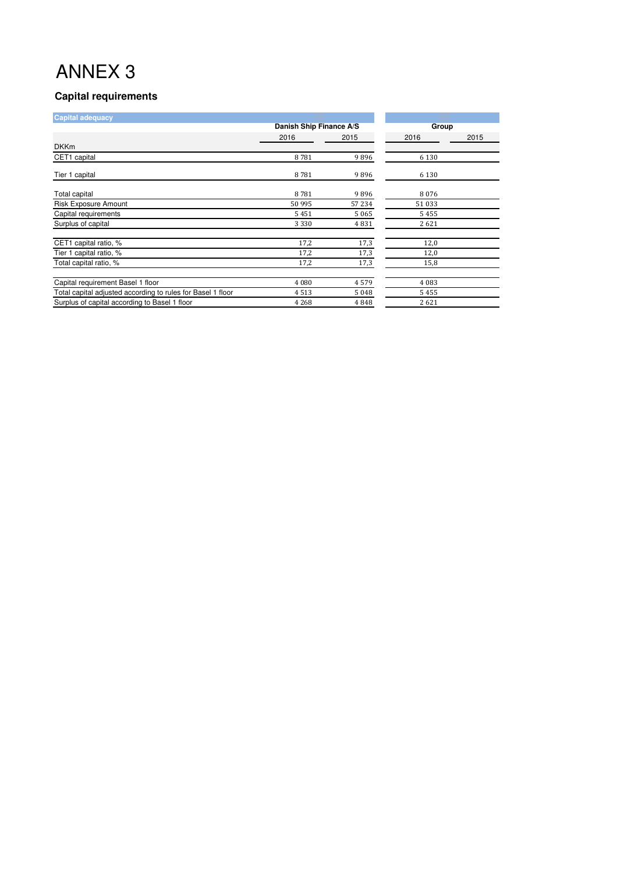## **Capital requirements**

| <b>Capital adequacy</b>                                     |                         |       |         |      |
|-------------------------------------------------------------|-------------------------|-------|---------|------|
|                                                             | Danish Ship Finance A/S |       | Group   |      |
|                                                             | 2016                    | 2015  | 2016    | 2015 |
| <b>DKKm</b>                                                 |                         |       |         |      |
| CET1 capital                                                | 8781                    | 9896  | 6 1 3 0 |      |
| Tier 1 capital                                              | 8781                    | 9896  | 6 1 3 0 |      |
| Total capital                                               | 8781                    | 9896  | 8076    |      |
| <b>Risk Exposure Amount</b>                                 | 50 995                  | 57234 | 51033   |      |
| Capital requirements                                        | 5451                    | 5065  | 5455    |      |
| Surplus of capital                                          | 3 3 3 0                 | 4831  | 2621    |      |
| CET1 capital ratio, %                                       | 17,2                    | 17,3  | 12,0    |      |
| Tier 1 capital ratio, %                                     | 17,2                    | 17,3  | 12,0    |      |
| Total capital ratio, %                                      | 17,2                    | 17,3  | 15,8    |      |
| Capital requirement Basel 1 floor                           | 4 0 8 0                 | 4579  | 4 0 8 3 |      |
| Total capital adjusted according to rules for Basel 1 floor | 4513                    | 5048  | 5455    |      |
| Surplus of capital according to Basel 1 floor               | 4 2 6 8                 | 4848  | 2621    |      |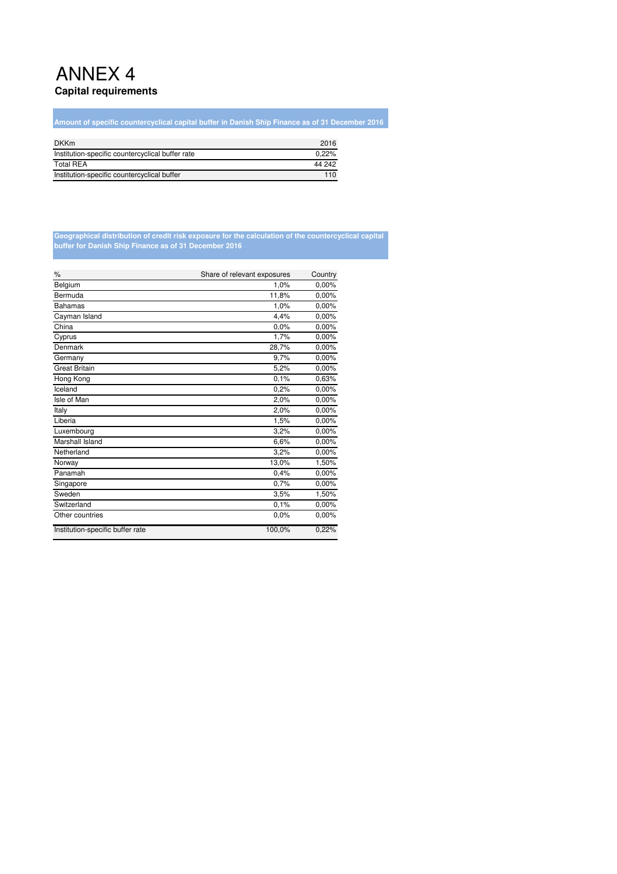## ANNEX 4 **Capital requirements**

**Amount of specific countercyclical capital buffer in Danish Ship Finance as of 31 December 2016**

| <b>DKKm</b>                                      | 2016   |
|--------------------------------------------------|--------|
| Institution-specific countercyclical buffer rate | 0.22%  |
| <b>Total REA</b>                                 | 44 242 |
| Institution-specific countercyclical buffer      | 110    |

#### **Geographical distribution of credit risk exposure for the calculation of the countercyclical capital buffer for Danish Ship Finance as of 31 December 2016**

| $\%$                             | Share of relevant exposures | Country |
|----------------------------------|-----------------------------|---------|
| Belgium                          | 1,0%                        | 0,00%   |
| Bermuda                          | 11,8%                       | 0,00%   |
| <b>Bahamas</b>                   | 1,0%                        | 0,00%   |
| Cayman Island                    | 4.4%                        | 0.00%   |
| China                            | 0.0%                        | 0,00%   |
| Cyprus                           | 1.7%                        | 0.00%   |
| Denmark                          | 28,7%                       | 0,00%   |
| Germany                          | 9,7%                        | 0,00%   |
| <b>Great Britain</b>             | 5,2%                        | 0.00%   |
| Hong Kong                        | 0,1%                        | 0.63%   |
| Iceland                          | 0.2%                        | 0,00%   |
| Isle of Man                      | 2,0%                        | 0,00%   |
| Italy                            | 2,0%                        | 0,00%   |
| Liberia                          | 1,5%                        | 0,00%   |
| Luxembourg                       | 3,2%                        | 0,00%   |
| Marshall Island                  | 6,6%                        | 0,00%   |
| Netherland                       | 3,2%                        | 0,00%   |
| Norway                           | 13,0%                       | 1,50%   |
| Panamah                          | 0.4%                        | 0,00%   |
| Singapore                        | 0.7%                        | 0.00%   |
| Sweden                           | 3,5%                        | 1,50%   |
| Switzerland                      | 0.1%                        | 0,00%   |
| Other countries                  | 0.0%                        | 0,00%   |
| Institution-specific buffer rate | 100,0%                      | 0.22%   |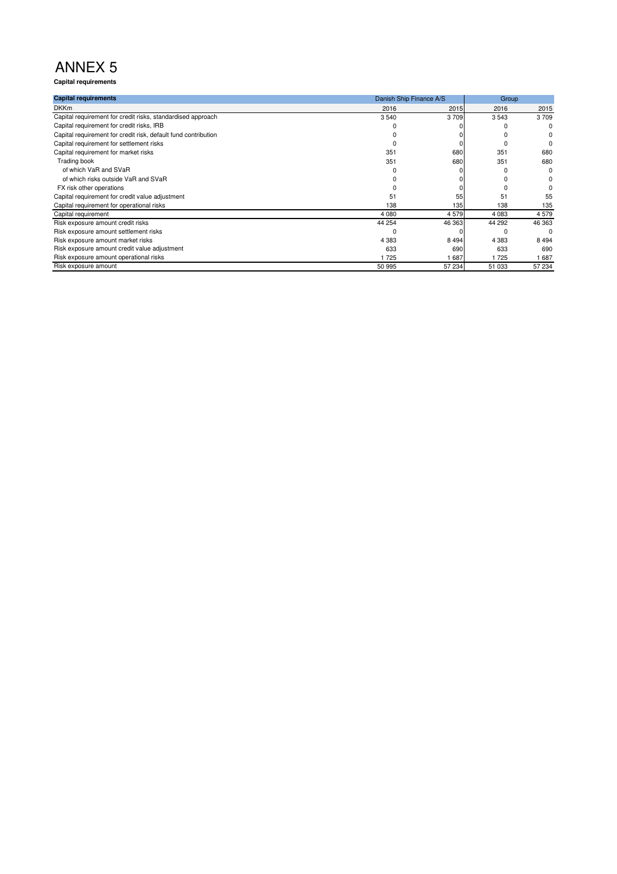**Capital requirements**

| <b>Capital requirements</b>                                    |         | Danish Ship Finance A/S |         |         |
|----------------------------------------------------------------|---------|-------------------------|---------|---------|
| <b>DKKm</b>                                                    | 2016    | 2015                    | 2016    | 2015    |
| Capital requirement for credit risks, standardised approach    | 3540    | 3709                    | 3543    | 3709    |
| Capital requirement for credit risks, IRB                      |         |                         |         | 0       |
| Capital requirement for credit risk, default fund contribution |         |                         |         |         |
| Capital requirement for settlement risks                       |         |                         |         |         |
| Capital requirement for market risks                           | 351     | 680                     | 351     | 680     |
| Trading book                                                   | 351     | 680                     | 351     | 680     |
| of which VaR and SVaR                                          |         |                         |         | O       |
| of which risks outside VaR and SVaR                            |         |                         |         |         |
| FX risk other operations                                       |         |                         |         |         |
| Capital requirement for credit value adjustment                | 51      | 55                      | 51      | 55      |
| Capital requirement for operational risks                      | 138     | 135                     | 138     | 135     |
| Capital requirement                                            | 4 0 8 0 | 4579                    | 4 0 8 3 | 4579    |
| Risk exposure amount credit risks                              | 44 254  | 46 363                  | 44 292  | 46 363  |
| Risk exposure amount settlement risks                          |         |                         |         | n       |
| Risk exposure amount market risks                              | 4 3 8 3 | 8494                    | 4 3 8 3 | 8 4 9 4 |
| Risk exposure amount credit value adjustment                   | 633     | 690                     | 633     | 690     |
| Risk exposure amount operational risks                         | 725     | 687                     | 1725    | 1687    |
| Risk exposure amount                                           | 50 995  | 57 234                  | 51 033  | 57 234  |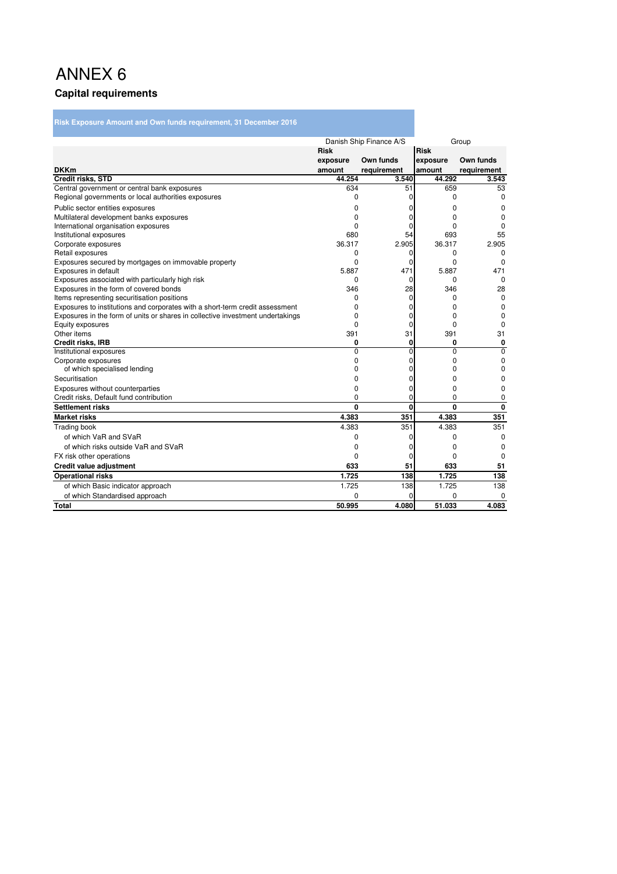# ANNEX 6 **Capital requirements**

**Risk Exposure Amount and Own funds requirement, 31 December 2016**

|                                                                                |              | Danish Ship Finance A/S |              | Group       |
|--------------------------------------------------------------------------------|--------------|-------------------------|--------------|-------------|
|                                                                                | <b>Risk</b>  |                         | <b>Risk</b>  |             |
|                                                                                | exposure     | Own funds               | exposure     | Own funds   |
| <b>DKKm</b>                                                                    | amount       | requirement             | amount       | requirement |
| Credit risks, STD                                                              | 44.254       | 3.540                   | 44.292       | 3.543       |
| Central government or central bank exposures                                   | 634          | 51                      | 659          | 53          |
| Regional governments or local authorities exposures                            | 0            | 0                       | 0            | 0           |
| Public sector entities exposures                                               | 0            | 0                       | 0            | 0           |
| Multilateral development banks exposures                                       | $\Omega$     | 0                       | $\Omega$     | $\Omega$    |
| International organisation exposures                                           | ŋ            | o                       | $\Omega$     | $\Omega$    |
| Institutional exposures                                                        | 680          | 54                      | 693          | 55          |
| Corporate exposures                                                            | 36.317       | 2.905                   | 36.317       | 2.905       |
| Retail exposures                                                               | 0            | 0                       | 0            | 0           |
| Exposures secured by mortgages on immovable property                           | 0            | $\Omega$                | 0            | 0           |
| Exposures in default                                                           | 5.887        | 471                     | 5.887        | 471         |
| Exposures associated with particularly high risk                               | 0            | $\Omega$                | $\Omega$     | $\Omega$    |
| Exposures in the form of covered bonds                                         | 346          | 28                      | 346          | 28          |
| Items representing securitisation positions                                    | 0            | 0                       | $\Omega$     | 0           |
| Exposures to institutions and corporates with a short-term credit assessment   | ŋ            | 0                       | $\Omega$     | 0           |
| Exposures in the form of units or shares in collective investment undertakings | ŋ            | U                       | $\Omega$     | $\Omega$    |
| Equity exposures                                                               | 0            | 0                       | $\Omega$     | 0           |
| Other items                                                                    | 391          | 31                      | 391          | 31          |
| <b>Credit risks, IRB</b>                                                       | 0            | 0                       | 0            | $\mathbf 0$ |
| Institutional exposures                                                        | $\Omega$     | $\Omega$                | $\Omega$     | $\Omega$    |
| Corporate exposures                                                            | 0            | 0                       | 0            | 0           |
| of which specialised lending                                                   | 0            | 0                       | $\Omega$     | 0           |
| Securitisation                                                                 | 0            | o                       | 0            | 0           |
| Exposures without counterparties                                               | 0            | o                       | $\Omega$     | 0           |
| Credit risks, Default fund contribution                                        | 0            | U                       | $\Omega$     | $\Omega$    |
| <b>Settlement risks</b>                                                        | $\mathbf{0}$ | $\mathbf{0}$            | $\mathbf{0}$ | $\mathbf 0$ |
| <b>Market risks</b>                                                            | 4.383        | 351                     | 4.383        | 351         |
| <b>Trading book</b>                                                            | 4.383        | 351                     | 4.383        | 351         |
| of which VaR and SVaR                                                          | 0            | 0                       | $\Omega$     | $\Omega$    |
| of which risks outside VaR and SVaR                                            | 0            | 0                       | 0            | 0           |
| FX risk other operations                                                       | 0            | 0                       | $\Omega$     | 0           |
| Credit value adjustment                                                        | 633          | 51                      | 633          | 51          |
| <b>Operational risks</b>                                                       | 1.725        | 138                     | 1.725        | 138         |
| of which Basic indicator approach                                              | 1.725        | 138                     | 1.725        | 138         |
| of which Standardised approach                                                 | $\Omega$     | 0                       | 0            | 0           |
| <b>Total</b>                                                                   | 50.995       | 4.080                   | 51.033       | 4.083       |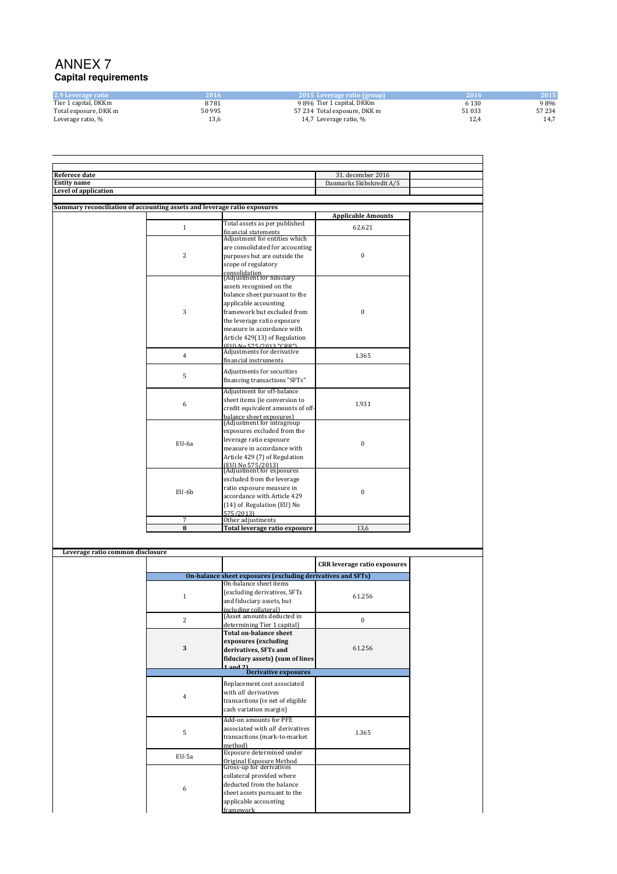### ANNEX 7 **Capital requirements**

| 2.9 Leverage ratio    | 2016.  | $\angle$ 2015 Leverage ratio (group) | 2016  | 2015  |
|-----------------------|--------|--------------------------------------|-------|-------|
| Tier 1 capital, DKKm  | 8781   | 9896 Tier 1 capital, DKKm            | 6 130 | 9896  |
| Total exposure, DKK m | 50 995 | 57 234 Total exposure, DKK m         | 51033 | 57234 |
| Leverage ratio, %     | 13,6   | 14.7 Leverage ratio, %               | 12,4  | 14,7  |

| <b>Referece date</b>                                                     |                |                                                             | 31. december 2016                   |
|--------------------------------------------------------------------------|----------------|-------------------------------------------------------------|-------------------------------------|
| <b>Entity name</b><br>Level of application                               |                |                                                             | Danmarks Skibskredit A/S            |
|                                                                          |                |                                                             |                                     |
| Summary reconciliation of accounting assets and leverage ratio exposures |                |                                                             |                                     |
|                                                                          |                |                                                             | <b>Applicable Amounts</b>           |
|                                                                          |                | Total assets as per published                               |                                     |
|                                                                          | $\mathbf{1}$   | financial statements                                        | 62.621                              |
|                                                                          |                | Adjustment for entities which                               |                                     |
|                                                                          |                | are consolidated for accounting                             |                                     |
|                                                                          | $\sqrt{2}$     | purposes but are outside the                                | $\bf{0}$                            |
|                                                                          |                | scope of regulatory                                         |                                     |
|                                                                          |                |                                                             |                                     |
|                                                                          |                | consolidation<br>(Adjustment for fiduciary                  |                                     |
|                                                                          |                | assets recognised on the                                    |                                     |
|                                                                          |                | balance sheet pursuant to the                               |                                     |
|                                                                          |                | applicable accounting                                       |                                     |
|                                                                          | 3              | framework but excluded from                                 | $\bf{0}$                            |
|                                                                          |                | the leverage ratio exposure                                 |                                     |
|                                                                          |                | measure in accordance with                                  |                                     |
|                                                                          |                | Article 429(13) of Regulation                               |                                     |
|                                                                          |                | FID No 575/2013 "CRR"                                       |                                     |
|                                                                          |                | Adjustments for derivative                                  |                                     |
|                                                                          | $\overline{4}$ | financial instruments                                       | 1.365                               |
|                                                                          |                |                                                             |                                     |
|                                                                          | 5              | Adjustments for securities<br>financing transactions "SFTs" |                                     |
|                                                                          |                |                                                             |                                     |
|                                                                          |                | Adjustment for off-balance                                  |                                     |
|                                                                          | 6              | sheet items (ie conversion to                               | 1.931                               |
|                                                                          |                | credit equivalent amounts of off-                           |                                     |
|                                                                          |                | balance sheet exposures)<br>(Adjustment for intragroup      |                                     |
|                                                                          |                |                                                             |                                     |
|                                                                          |                | exposures excluded from the                                 |                                     |
|                                                                          | EU-6a          | leverage ratio exposure                                     | $\bf{0}$                            |
|                                                                          |                | measure in accordance with                                  |                                     |
|                                                                          |                | Article 429 (7) of Regulation                               |                                     |
|                                                                          |                | (EU) No 575/2013)<br>(Adjustment for exposures              |                                     |
|                                                                          |                | excluded from the leverage                                  |                                     |
|                                                                          |                |                                                             |                                     |
|                                                                          | EU-6b          | ratio exposure measure in                                   | $\bf{0}$                            |
|                                                                          |                | accordance with Article 429                                 |                                     |
|                                                                          |                | (14) of Regulation (EU) No                                  |                                     |
|                                                                          | 7              | 575/2013)<br>Other adjustments                              |                                     |
|                                                                          | 8              | Total leverage ratio exposure                               | 13,6                                |
|                                                                          |                |                                                             |                                     |
|                                                                          |                |                                                             |                                     |
| Leverage ratio common disclosure                                         |                |                                                             |                                     |
|                                                                          |                |                                                             |                                     |
|                                                                          |                |                                                             | <b>CRR</b> leverage ratio exposures |
|                                                                          |                | On-balance sheet exposures (excluding derivatives and SFTs) |                                     |
|                                                                          |                | On-balance sheet items                                      |                                     |
|                                                                          | $\mathbf{1}$   | (excluding derivatives, SFTs                                |                                     |
|                                                                          |                |                                                             |                                     |
|                                                                          |                | and fiduciary assets, but                                   | 61.256                              |
|                                                                          |                | including collateral)                                       |                                     |
|                                                                          |                | (Asset amounts deducted in                                  |                                     |
|                                                                          | 2              | determining Tier 1 capital)                                 | $\mathbf{0}$                        |
|                                                                          |                | <b>Total on-balance sheet</b>                               |                                     |
|                                                                          |                | exposures (excluding                                        |                                     |
|                                                                          | 3              | derivatives, SFTs and                                       | 61.256                              |
|                                                                          |                |                                                             |                                     |
|                                                                          |                | fiduciary assets) (sum of lines<br>$1$ and $21$             |                                     |
|                                                                          |                | <b>Derivative exposures</b>                                 |                                     |
|                                                                          |                | Replacement cost associated                                 |                                     |
|                                                                          |                | with all derivatives                                        |                                     |
|                                                                          | $\,4\,$        | transactions (ie net of eligible                            |                                     |
|                                                                          |                | cash variation margin)                                      |                                     |
|                                                                          |                |                                                             |                                     |
|                                                                          | 5              | Add-on amounts for PFE<br>associated with all derivatives   | 1.365                               |

transactions (mark-to-market

Original Exposure Method Gross-up for derivatives

collateral provided where deducted from the balance sheet assets pursuant to the applicable accounting framework

method)<br>EU-5a Exposure determined under

6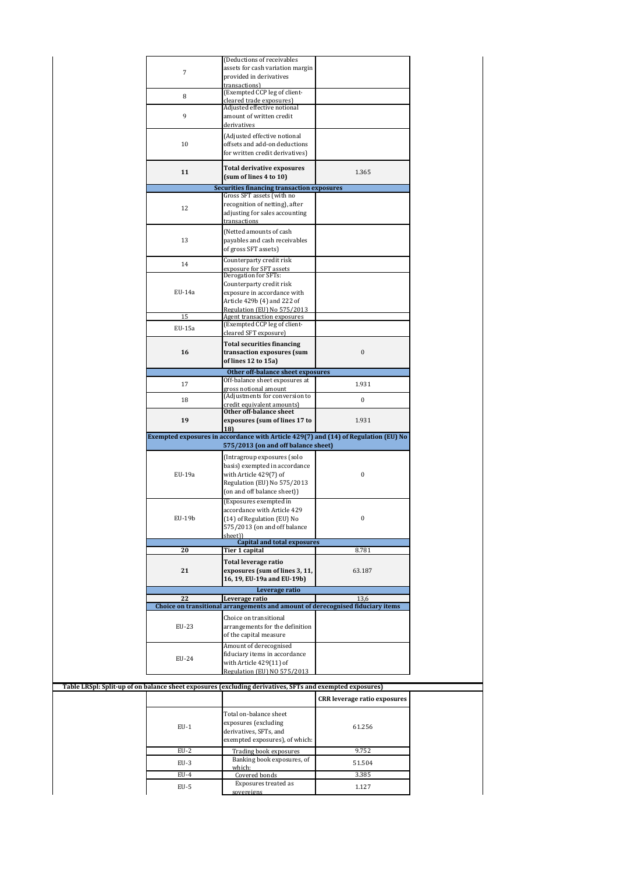|            | (Deductions of receivables                                                                               |                                     |
|------------|----------------------------------------------------------------------------------------------------------|-------------------------------------|
| $\sqrt{7}$ | assets for cash variation margin                                                                         |                                     |
|            | provided in derivatives                                                                                  |                                     |
|            | transactions)                                                                                            |                                     |
| 8          | (Exempted CCP leg of client-                                                                             |                                     |
|            | cleared trade exposures)                                                                                 |                                     |
|            | Adjusted effective notional                                                                              |                                     |
| 9          | amount of written credit                                                                                 |                                     |
|            | derivatives                                                                                              |                                     |
|            | (Adjusted effective notional                                                                             |                                     |
| 10         | offsets and add-on deductions                                                                            |                                     |
|            | for written credit derivatives)                                                                          |                                     |
|            |                                                                                                          |                                     |
|            | <b>Total derivative exposures</b>                                                                        |                                     |
| 11         | (sum of lines 4 to 10)                                                                                   | 1.365                               |
|            | <b>Securities financing transaction exposures</b>                                                        |                                     |
|            | Gross SFT assets (with no                                                                                |                                     |
|            | recognition of netting), after                                                                           |                                     |
| 12         |                                                                                                          |                                     |
|            | adjusting for sales accounting                                                                           |                                     |
|            | transactions                                                                                             |                                     |
|            | (Netted amounts of cash                                                                                  |                                     |
| 13         | payables and cash receivables                                                                            |                                     |
|            | of gross SFT assets)                                                                                     |                                     |
|            | Counterparty credit risk                                                                                 |                                     |
| 14         |                                                                                                          |                                     |
|            | exposure for SFT assets<br>Derogation for SFTs:                                                          |                                     |
|            | Counterparty credit risk                                                                                 |                                     |
| $EU-14a$   | exposure in accordance with                                                                              |                                     |
|            |                                                                                                          |                                     |
|            | Article 429b (4) and 222 of                                                                              |                                     |
|            | Regulation (EII) No 575/2013                                                                             |                                     |
| 15         | Agent transaction exposures                                                                              |                                     |
| EU-15a     | (Exempted CCP leg of client-                                                                             |                                     |
|            | cleared SFT exposure)                                                                                    |                                     |
|            | <b>Total securities financing</b>                                                                        |                                     |
| 16         | transaction exposures (sum                                                                               | $\boldsymbol{0}$                    |
|            | of lines 12 to 15a)                                                                                      |                                     |
|            | Other off-balance sheet exposures                                                                        |                                     |
|            | Off-balance sheet exposures at                                                                           |                                     |
| 17         | gross notional amount                                                                                    | 1.931                               |
|            | (Adjustments for conversion to                                                                           |                                     |
| 18         | credit equivalent amounts)                                                                               | $\boldsymbol{0}$                    |
|            | Other off-balance sheet                                                                                  |                                     |
| 19         | exposures (sum of lines 17 to                                                                            | 1.931                               |
|            |                                                                                                          |                                     |
|            |                                                                                                          |                                     |
|            | 18                                                                                                       |                                     |
|            | Exempted exposures in accordance with Article 429(7) and (14) of Regulation (EU) No                      |                                     |
|            | 575/2013 (on and off balance sheet)                                                                      |                                     |
|            | (Intragroup exposures (solo                                                                              |                                     |
|            | basis) exempted in accordance                                                                            |                                     |
|            |                                                                                                          |                                     |
| EU-19a     | with Article 429(7) of                                                                                   | 0                                   |
|            | Regulation (EU) No 575/2013                                                                              |                                     |
|            | (on and off balance sheet))                                                                              |                                     |
|            | (Exposures exempted in                                                                                   |                                     |
|            | accordance with Article 429                                                                              |                                     |
| EU-19b     | (14) of Regulation (EU) No                                                                               | $\Omega$                            |
|            | 575/2013 (on and off balance                                                                             |                                     |
|            | sheet))                                                                                                  |                                     |
|            | <b>Capital and total exposures</b>                                                                       |                                     |
| 20         | Tier 1 capital                                                                                           | 8.781                               |
|            |                                                                                                          |                                     |
|            | Total leverage ratio                                                                                     |                                     |
| 21         | exposures (sum of lines 3, 11,                                                                           | 63.187                              |
|            | 16, 19, EU-19a and EU-19b)                                                                               |                                     |
|            | Leverage ratio                                                                                           |                                     |
| 22         | Leverage ratio                                                                                           | 13,6                                |
|            | Choice on transitional arrangements and amount of derecognised fiduciary items                           |                                     |
|            | Choice on transitional                                                                                   |                                     |
|            |                                                                                                          |                                     |
| EU-23      | arrangements for the definition                                                                          |                                     |
|            | of the capital measure                                                                                   |                                     |
|            | Amount of derecognised                                                                                   |                                     |
|            | fiduciary items in accordance                                                                            |                                     |
| EU-24      | with Article 429(11) of                                                                                  |                                     |
|            | Regulation (EU) NO 575/2013                                                                              |                                     |
|            |                                                                                                          |                                     |
|            | Table LRSpl: Split-up of on balance sheet exposures (excluding derivatives, SFTs and exempted exposures) |                                     |
|            |                                                                                                          |                                     |
|            |                                                                                                          | <b>CRR</b> leverage ratio exposures |
|            |                                                                                                          |                                     |
|            | Total on-balance sheet                                                                                   |                                     |
| $EU-1$     | exposures (excluding                                                                                     | 61.256                              |
|            | derivatives, SFTs, and                                                                                   |                                     |
|            | exempted exposures), of which:                                                                           |                                     |
| $EU-2$     | Trading book exposures                                                                                   | 9.752                               |
|            | Banking book exposures, of                                                                               |                                     |
| $EU-3$     | which:                                                                                                   | 51.504                              |
| $EU-4$     | Covered bonds                                                                                            | 3.385                               |
| EU-5       | Exposures treated as<br>sovereigns                                                                       | 1.127                               |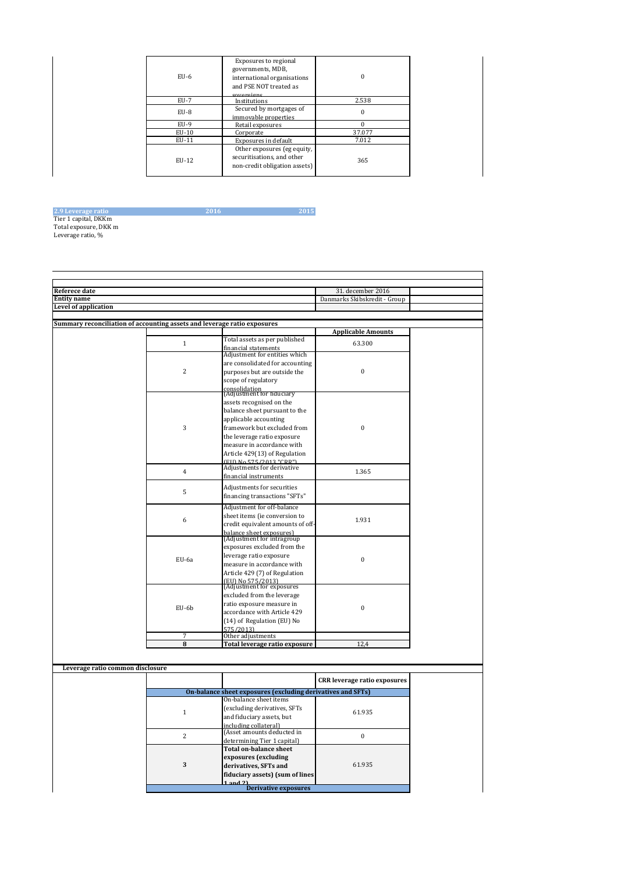| $EU-6$      | Exposures to regional<br>governments, MDB,<br>international organisations<br>and PSE NOT treated as<br>covereigne |        |
|-------------|-------------------------------------------------------------------------------------------------------------------|--------|
| <b>EU-7</b> | Institutions                                                                                                      | 2.538  |
| $EU-8$      | Secured by mortgages of<br>immovable properties                                                                   |        |
| EU-9        | Retail exposures                                                                                                  |        |
| $EU-10$     | Corporate                                                                                                         | 37.077 |
| EU-11       | Exposures in default                                                                                              | 7.012  |
| EU-12       | Other exposures (eg equity,<br>securitisations, and other<br>non-credit obligation assets)                        | 365    |

# 2.9 Leverage ratio 2016 2015 Tier 1 capital, DKKm Total exposure, DKK m Leverage ratio, %

| Referece date                                                            |                |                                                                                       | 31. december 2016                   |  |
|--------------------------------------------------------------------------|----------------|---------------------------------------------------------------------------------------|-------------------------------------|--|
| <b>Entity name</b>                                                       |                |                                                                                       | Danmarks Skibskredit - Group        |  |
| <b>Level of application</b>                                              |                |                                                                                       |                                     |  |
|                                                                          |                |                                                                                       |                                     |  |
| Summary reconciliation of accounting assets and leverage ratio exposures |                |                                                                                       |                                     |  |
|                                                                          |                |                                                                                       | <b>Applicable Amounts</b>           |  |
|                                                                          | $1\,$          | Total assets as per published                                                         | 63.300                              |  |
|                                                                          |                | financial statements                                                                  |                                     |  |
|                                                                          |                | Adjustment for entities which                                                         |                                     |  |
|                                                                          |                | are consolidated for accounting                                                       |                                     |  |
|                                                                          | $\overline{c}$ | purposes but are outside the                                                          | $\mathbf{0}$                        |  |
|                                                                          |                | scope of regulatory                                                                   |                                     |  |
|                                                                          |                | consolidation<br>(Adjustment for fiduciary                                            |                                     |  |
|                                                                          |                |                                                                                       |                                     |  |
|                                                                          |                | assets recognised on the                                                              |                                     |  |
|                                                                          |                | balance sheet pursuant to the                                                         |                                     |  |
|                                                                          |                | applicable accounting                                                                 |                                     |  |
|                                                                          | 3              | framework but excluded from                                                           | $\bf{0}$                            |  |
|                                                                          |                | the leverage ratio exposure                                                           |                                     |  |
|                                                                          |                | measure in accordance with                                                            |                                     |  |
|                                                                          |                | Article 429(13) of Regulation                                                         |                                     |  |
|                                                                          |                | (FID No 575/2013 "CRR")                                                               |                                     |  |
|                                                                          | $\overline{4}$ | Adjustments for derivative                                                            | 1.365                               |  |
|                                                                          |                | financial instruments                                                                 |                                     |  |
|                                                                          | 5              | Adjustments for securities                                                            |                                     |  |
|                                                                          |                | financing transactions "SFTs"                                                         |                                     |  |
|                                                                          |                | Adjustment for off-balance                                                            |                                     |  |
|                                                                          |                | sheet items (ie conversion to                                                         |                                     |  |
|                                                                          | 6              | credit equivalent amounts of off-                                                     | 1.931                               |  |
|                                                                          |                |                                                                                       |                                     |  |
|                                                                          |                | balance sheet exposures)<br>(Adjustment for intragroup                                |                                     |  |
|                                                                          |                | exposures excluded from the                                                           |                                     |  |
|                                                                          |                | leverage ratio exposure                                                               |                                     |  |
|                                                                          | EU-6a          | measure in accordance with                                                            | $\mathbf{0}$                        |  |
|                                                                          |                | Article 429 (7) of Regulation                                                         |                                     |  |
|                                                                          |                |                                                                                       |                                     |  |
|                                                                          |                | (EU) No 575/2013)<br>(Adjustment for exposures                                        |                                     |  |
|                                                                          |                | excluded from the leverage                                                            |                                     |  |
|                                                                          |                | ratio exposure measure in                                                             |                                     |  |
|                                                                          | EU-6b          | accordance with Article 429                                                           | $\bf{0}$                            |  |
|                                                                          |                | (14) of Regulation (EU) No                                                            |                                     |  |
|                                                                          |                | 575/2013)                                                                             |                                     |  |
|                                                                          | 7              | Other adjustments                                                                     |                                     |  |
|                                                                          | 8              | Total leverage ratio exposure                                                         | 12,4                                |  |
|                                                                          |                |                                                                                       |                                     |  |
|                                                                          |                |                                                                                       |                                     |  |
| Leverage ratio common disclosure                                         |                |                                                                                       |                                     |  |
|                                                                          |                |                                                                                       | <b>CRR</b> leverage ratio exposures |  |
|                                                                          |                |                                                                                       |                                     |  |
|                                                                          |                | On-balance sheet exposures (excluding derivatives and SFTs)<br>On-balance sheet items |                                     |  |
|                                                                          |                |                                                                                       |                                     |  |
|                                                                          | $\mathbf{1}$   | (excluding derivatives, SFTs                                                          | 61.935                              |  |
|                                                                          |                | and fiduciary assets, but                                                             |                                     |  |
|                                                                          |                | including collateral)                                                                 |                                     |  |
|                                                                          | $\overline{2}$ | (Asset amounts deducted in                                                            | $\overline{0}$                      |  |
|                                                                          |                | determining Tier 1 capital)                                                           |                                     |  |
|                                                                          |                | <b>Total on-balance sheet</b>                                                         |                                     |  |
|                                                                          |                | exposures (excluding                                                                  |                                     |  |
|                                                                          | 3              | derivatives, SFTs and                                                                 | 61.935                              |  |
|                                                                          |                | fiduciary assets) (sum of lines                                                       |                                     |  |

1 and 2) Derivative exposures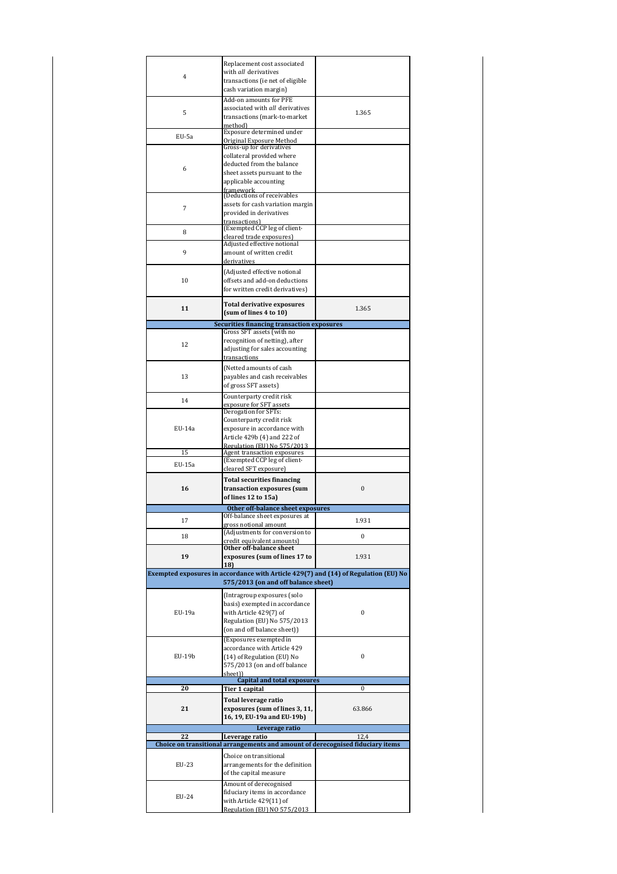|                | Replacement cost associated                                                         |                  |
|----------------|-------------------------------------------------------------------------------------|------------------|
| $\overline{4}$ | with all derivatives<br>transactions (ie net of eligible                            |                  |
|                | cash variation margin)                                                              |                  |
|                | Add-on amounts for PFE                                                              |                  |
| 5              | associated with all derivatives                                                     | 1.365            |
|                | transactions (mark-to-market                                                        |                  |
|                | method)<br>Exposure determined under                                                |                  |
| EU-5a          | <b>Original Exposure Method</b>                                                     |                  |
|                | Gross-up for derivatives                                                            |                  |
|                | collateral provided where<br>deducted from the balance                              |                  |
| 6              | sheet assets pursuant to the                                                        |                  |
|                | applicable accounting                                                               |                  |
|                | framework<br>(Deductions of receivables                                             |                  |
|                | assets for cash variation margin                                                    |                  |
| 7              | provided in derivatives                                                             |                  |
|                | transactions)                                                                       |                  |
| 8              | (Exempted CCP leg of client-<br>cleared trade exposures)                            |                  |
|                | Adjusted effective notional                                                         |                  |
| 9              | amount of written credit                                                            |                  |
|                | derivatives                                                                         |                  |
|                | (Adjusted effective notional                                                        |                  |
| 10             | offsets and add-on deductions<br>for written credit derivatives)                    |                  |
|                |                                                                                     |                  |
| 11             | Total derivative exposures                                                          | 1.365            |
|                | (sum of lines 4 to 10)                                                              |                  |
|                | Securities financing transaction exposures                                          |                  |
|                | Gross SFT assets (with no<br>recognition of netting), after                         |                  |
| 12             | adjusting for sales accounting                                                      |                  |
|                | transactions                                                                        |                  |
|                | (Netted amounts of cash                                                             |                  |
| 13             | payables and cash receivables                                                       |                  |
|                | of gross SFT assets)                                                                |                  |
| 14             | Counterparty credit risk                                                            |                  |
|                | exposure for SFT assets<br>Derogation for SFTs:                                     |                  |
|                | Counterparty credit risk                                                            |                  |
| EU-14a         | exposure in accordance with                                                         |                  |
|                | Article 429b (4) and 222 of                                                         |                  |
| 15             | Regulation (EII) No 575/2013                                                        |                  |
|                | Agent transaction exposures<br>(Exempted CCP leg of client-                         |                  |
| EU-15a         | cleared SFT exposure)                                                               |                  |
|                | <b>Total securities financing</b>                                                   |                  |
| 16             | transaction exposures (sum                                                          | $\mathbf{0}$     |
|                | of lines 12 to 15a)                                                                 |                  |
|                | Other off-balance sheet exposures                                                   |                  |
| 17             | Off-balance sheet exposures at                                                      | 1.931            |
|                | gross notional amount<br>(Adjustments for conversion to                             |                  |
| 18             | credit equivalent amounts)                                                          | $\bf{0}$         |
|                | Other off-balance sheet                                                             |                  |
| 19             | exposures (sum of lines 17 to<br>18)                                                | 1.931            |
|                | Exempted exposures in accordance with Article 429(7) and (14) of Regulation (EU) No |                  |
|                | 575/2013 (on and off balance sheet)                                                 |                  |
|                | (Intragroup exposures (solo                                                         |                  |
|                | basis) exempted in accordance                                                       |                  |
| EU-19a         | with Article 429(7) of                                                              | 0                |
|                | Regulation (EU) No 575/2013                                                         |                  |
|                | (on and off balance sheet))                                                         |                  |
|                | (Exposures exempted in<br>accordance with Article 429                               |                  |
| EU-19b         | (14) of Regulation (EU) No                                                          | $\boldsymbol{0}$ |
|                | 575/2013 (on and off balance                                                        |                  |
|                | sheet))                                                                             |                  |
| 20             | <b>Capital and total exposures</b><br>Tier 1 capital                                | 0                |
|                | Total leverage ratio                                                                |                  |
| 21             | exposures (sum of lines 3, 11,                                                      | 63.866           |
|                | 16, 19, EU-19a and EU-19b)                                                          |                  |
|                | Leverage ratio                                                                      |                  |
| 22             | Leverage ratio                                                                      | 12,4             |
|                | Choice on transitional arrangements and amount of derecognised fiduciary items      |                  |
|                | Choice on transitional                                                              |                  |
| EU-23          | arrangements for the definition                                                     |                  |
|                | of the capital measure                                                              |                  |
|                |                                                                                     |                  |
|                | Amount of derecognised                                                              |                  |
| EU-24          | fiduciary items in accordance                                                       |                  |
|                | with Article 429(11) of<br>Regulation (EU) NO 575/2013                              |                  |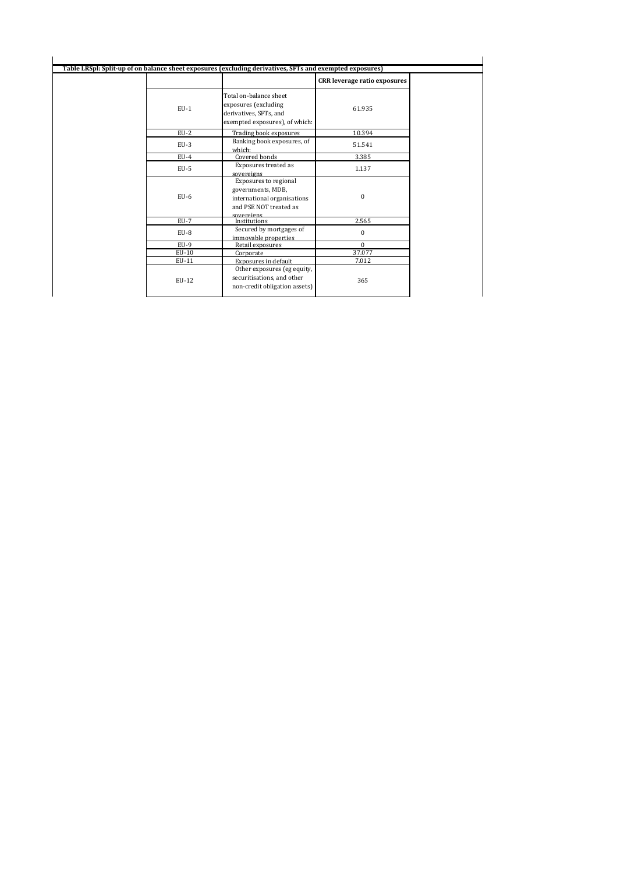| Table LRSpl: Split-up of on balance sheet exposures (excluding derivatives, SFTs and exempted exposures) |                                                                                                                   |                                     |
|----------------------------------------------------------------------------------------------------------|-------------------------------------------------------------------------------------------------------------------|-------------------------------------|
|                                                                                                          |                                                                                                                   | <b>CRR</b> leverage ratio exposures |
| $EU-1$                                                                                                   | Total on-balance sheet<br>exposures (excluding<br>derivatives, SFTs, and<br>exempted exposures), of which:        | 61.935                              |
| $EU-2$                                                                                                   | Trading book exposures                                                                                            | 10.394                              |
| $EU-3$                                                                                                   | Banking book exposures, of<br>which:                                                                              | 51.541                              |
| $EU-4$                                                                                                   | Covered bonds                                                                                                     | 3.385                               |
| $EU-5$                                                                                                   | Exposures treated as<br>sovereigns                                                                                | 1.137                               |
| $EU-6$                                                                                                   | Exposures to regional<br>governments, MDB,<br>international organisations<br>and PSE NOT treated as<br>coverainne | $\mathbf{0}$                        |
| $EU-7$                                                                                                   | Institutions                                                                                                      | 2.565                               |
| EU-8                                                                                                     | Secured by mortgages of<br>immovable properties                                                                   | $\mathbf{0}$                        |
| $EU-9$                                                                                                   | Retail exposures                                                                                                  | $\mathbf{0}$                        |
| $EU-10$                                                                                                  | Corporate                                                                                                         | 37.077                              |
| EU-11                                                                                                    | Exposures in default                                                                                              | 7.012                               |
| EU-12                                                                                                    | Other exposures (eg equity,<br>securitisations, and other<br>non-credit obligation assets)                        | 365                                 |